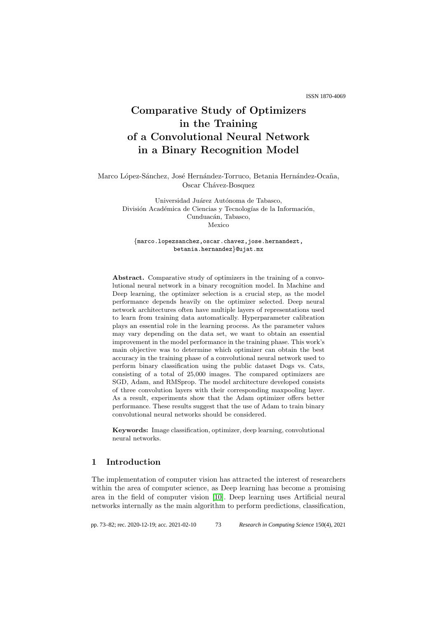ISSN 1870-4069

# Comparative Study of Optimizers in the Training of a Convolutional Neural Network in a Binary Recognition Model

Marco López-Sánchez, José Hernández-Torruco, Betania Hernández-Ocaña, Oscar Chávez-Bosquez

> Universidad Juárez Autónoma de Tabasco, División Académica de Ciencias y Tecnologías de la Información, Cunduacán, Tabasco, Mexico

{marco.lopezsanchez,oscar.chavez,jose.hernandezt, betania.hernandez}@ujat.mx

Abstract. Comparative study of optimizers in the training of a convolutional neural network in a binary recognition model. In Machine and Deep learning, the optimizer selection is a crucial step, as the model performance depends heavily on the optimizer selected. Deep neural network architectures often have multiple layers of representations used to learn from training data automatically. Hyperparameter calibration plays an essential role in the learning process. As the parameter values may vary depending on the data set, we want to obtain an essential improvement in the model performance in the training phase. This work's main objective was to determine which optimizer can obtain the best accuracy in the training phase of a convolutional neural network used to perform binary classification using the public dataset Dogs vs. Cats, consisting of a total of 25,000 images. The compared optimizers are SGD, Adam, and RMSprop. The model architecture developed consists of three convolution layers with their corresponding maxpooling layer. As a result, experiments show that the Adam optimizer offers better performance. These results suggest that the use of Adam to train binary convolutional neural networks should be considered.

Keywords: Image classification, optimizer, deep learning, convolutional neural networks.

## 1 Introduction

The implementation of computer vision has attracted the interest of researchers within the area of computer science, as Deep learning has become a promising area in the field of computer vision [\[10\]](#page-9-0). Deep learning uses Artificial neural networks internally as the main algorithm to perform predictions, classification,

pp. 73–82; rec. 2020-12-19; acc. 2021-02-10 *Research in Computing Science* 150(4), 2021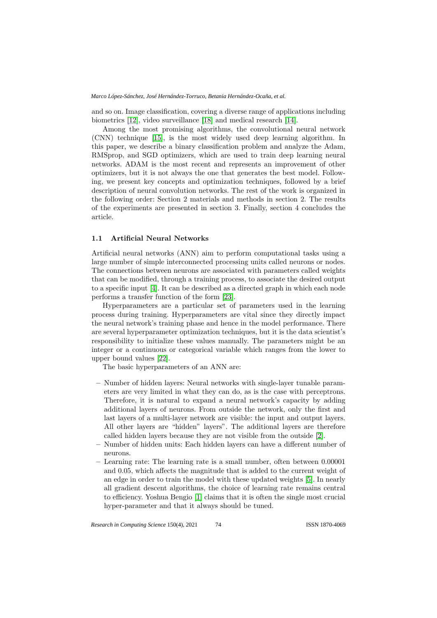and so on. Image classification, covering a diverse range of applications including biometrics [\[12\]](#page-9-1), video surveillance [\[18\]](#page-9-2) and medical research [\[14\]](#page-9-3).

Among the most promising algorithms, the convolutional neural network (CNN) technique [\[15\]](#page-9-4), is the most widely used deep learning algorithm. In this paper, we describe a binary classification problem and analyze the Adam, RMSprop, and SGD optimizers, which are used to train deep learning neural networks. ADAM is the most recent and represents an improvement of other optimizers, but it is not always the one that generates the best model. Following, we present key concepts and optimization techniques, followed by a brief description of neural convolution networks. The rest of the work is organized in the following order: Section 2 materials and methods in section 2. The results of the experiments are presented in section 3. Finally, section 4 concludes the article.

#### 1.1 Artificial Neural Networks

Artificial neural networks (ANN) aim to perform computational tasks using a large number of simple interconnected processing units called neurons or nodes. The connections between neurons are associated with parameters called weights that can be modified, through a training process, to associate the desired output to a specific input [\[4\]](#page-9-5). It can be described as a directed graph in which each node performs a transfer function of the form [\[23\]](#page-9-6).

Hyperparameters are a particular set of parameters used in the learning process during training. Hyperparameters are vital since they directly impact the neural network's training phase and hence in the model performance. There are several hyperparameter optimization techniques, but it is the data scientist's responsibility to initialize these values manually. The parameters might be an integer or a continuous or categorical variable which ranges from the lower to upper bound values [\[22\]](#page-9-7).

The basic hyperparameters of an ANN are:

- Number of hidden layers: Neural networks with single-layer tunable parameters are very limited in what they can do, as is the case with perceptrons. Therefore, it is natural to expand a neural network's capacity by adding additional layers of neurons. From outside the network, only the first and last layers of a multi-layer network are visible: the input and output layers. All other layers are "hidden" layers". The additional layers are therefore called hidden layers because they are not visible from the outside [\[2\]](#page-8-0).
- Number of hidden units: Each hidden layers can have a different number of neurons.
- Learning rate: The learning rate is a small number, often between 0.00001 and 0.05, which affects the magnitude that is added to the current weight of an edge in order to train the model with these updated weights [\[5\]](#page-9-8). In nearly all gradient descent algorithms, the choice of learning rate remains central to efficiency. Yoshua Bengio [\[1\]](#page-8-1) claims that it is often the single most crucial hyper-parameter and that it always should be tuned.

74

*Research in Computing Science* 150(4), 2021 74 **ISSN 1870-4069**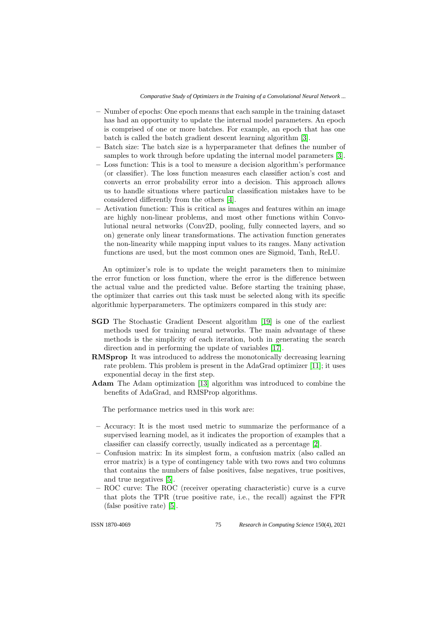- Number of epochs: One epoch means that each sample in the training dataset has had an opportunity to update the internal model parameters. An epoch is comprised of one or more batches. For example, an epoch that has one batch is called the batch gradient descent learning algorithm [\[3\]](#page-8-2).
- Batch size: The batch size is a hyperparameter that defines the number of samples to work through before updating the internal model parameters [\[3\]](#page-8-2).
- Loss function: This is a tool to measure a decision algorithm's performance (or classifier). The loss function measures each classifier action's cost and converts an error probability error into a decision. This approach allows us to handle situations where particular classification mistakes have to be considered differently from the others [\[4\]](#page-9-5).
- Activation function: This is critical as images and features within an image are highly non-linear problems, and most other functions within Convolutional neural networks (Conv2D, pooling, fully connected layers, and so on) generate only linear transformations. The activation function generates the non-linearity while mapping input values to its ranges. Many activation functions are used, but the most common ones are Sigmoid, Tanh, ReLU.

An optimizer's role is to update the weight parameters then to minimize the error function or loss function, where the error is the difference between the actual value and the predicted value. Before starting the training phase, the optimizer that carries out this task must be selected along with its specific algorithmic hyperparameters. The optimizers compared in this study are:

- SGD The Stochastic Gradient Descent algorithm [\[19\]](#page-9-9) is one of the earliest methods used for training neural networks. The main advantage of these methods is the simplicity of each iteration, both in generating the search direction and in performing the update of variables [\[17\]](#page-9-10).
- RMSprop It was introduced to address the monotonically decreasing learning rate problem. This problem is present in the AdaGrad optimizer [\[11\]](#page-9-11); it uses exponential decay in the first step.
- Adam The Adam optimization [\[13\]](#page-9-12) algorithm was introduced to combine the benefits of AdaGrad, and RMSProp algorithms.

The performance metrics used in this work are:

- Accuracy: It is the most used metric to summarize the performance of a supervised learning model, as it indicates the proportion of examples that a classifier can classify correctly, usually indicated as a percentage [\[2\]](#page-8-0).
- Confusion matrix: In its simplest form, a confusion matrix (also called an error matrix) is a type of contingency table with two rows and two columns that contains the numbers of false positives, false negatives, true positives, and true negatives [\[5\]](#page-9-8).
- ROC curve: The ROC (receiver operating characteristic) curve is a curve that plots the TPR (true positive rate, i.e., the recall) against the FPR (false positive rate) [\[5\]](#page-9-8).

75

ISSN 1870-4069 *Research in Computing Science* 150(4), 2021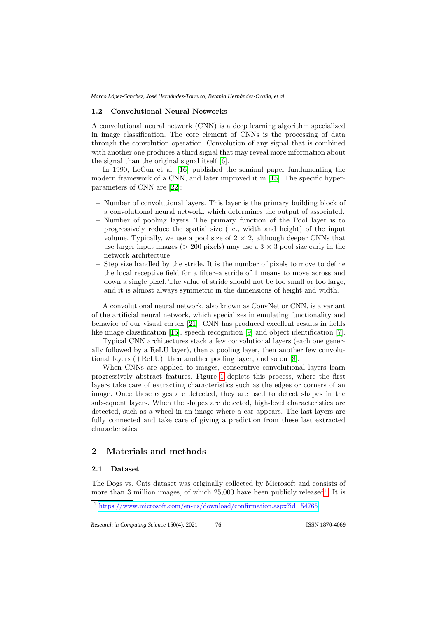#### 1.2 Convolutional Neural Networks

A convolutional neural network (CNN) is a deep learning algorithm specialized in image classification. The core element of CNNs is the processing of data through the convolution operation. Convolution of any signal that is combined with another one produces a third signal that may reveal more information about the signal than the original signal itself [\[6\]](#page-9-13).

In 1990, LeCun et al. [\[16\]](#page-9-14) published the seminal paper fundamenting the modern framework of a CNN, and later improved it in [\[15\]](#page-9-4). The specific hyperparameters of CNN are [\[22\]](#page-9-7):

- Number of convolutional layers. This layer is the primary building block of a convolutional neural network, which determines the output of associated.
- Number of pooling layers. The primary function of the Pool layer is to progressively reduce the spatial size (i.e., width and height) of the input volume. Typically, we use a pool size of  $2 \times 2$ , although deeper CNNs that use larger input images ( $> 200$  pixels) may use a  $3 \times 3$  pool size early in the network architecture.
- Step size handled by the stride. It is the number of pixels to move to define the local receptive field for a filter–a stride of 1 means to move across and down a single pixel. The value of stride should not be too small or too large, and it is almost always symmetric in the dimensions of height and width.

A convolutional neural network, also known as ConvNet or CNN, is a variant of the artificial neural network, which specializes in emulating functionality and behavior of our visual cortex [\[21\]](#page-9-15). CNN has produced excellent results in fields like image classification [\[15\]](#page-9-4), speech recognition [\[9\]](#page-9-16) and object identification [\[7\]](#page-9-17).

Typical CNN architectures stack a few convolutional layers (each one generally followed by a ReLU layer), then a pooling layer, then another few convolutional layers (+ReLU), then another pooling layer, and so on [\[8\]](#page-9-18).

When CNNs are applied to images, consecutive convolutional layers learn progressively abstract features. Figure [1](#page-4-0) depicts this process, where the first layers take care of extracting characteristics such as the edges or corners of an image. Once these edges are detected, they are used to detect shapes in the subsequent layers. When the shapes are detected, high-level characteristics are detected, such as a wheel in an image where a car appears. The last layers are fully connected and take care of giving a prediction from these last extracted characteristics.

## 2 Materials and methods

#### 2.1 Dataset

The Dogs vs. Cats dataset was originally collected by Microsoft and consists of more than 3 million images, of which  $25,000$  have been publicly released<sup>[1](#page-3-0)</sup>. It is

<span id="page-3-0"></span><sup>1</sup> [https://www.microsoft.com/en-us/download/confirmation.aspx?id=54765]( https://www.microsoft.com/en-us/download/confirmation.aspx?id=54765)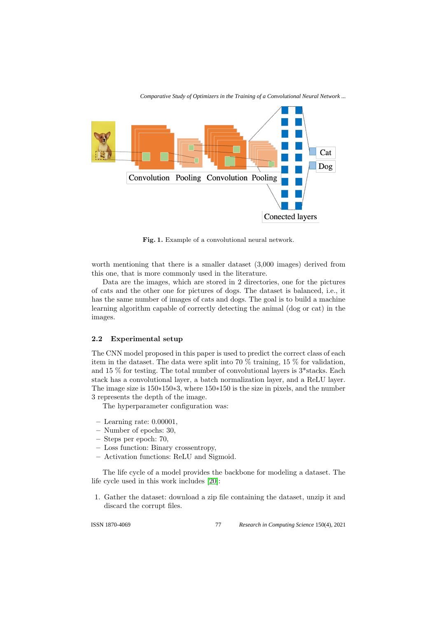

<span id="page-4-0"></span>Fig. 1. Example of a convolutional neural network.

worth mentioning that there is a smaller dataset (3,000 images) derived from this one, that is more commonly used in the literature.

Data are the images, which are stored in 2 directories, one for the pictures of cats and the other one for pictures of dogs. The dataset is balanced, i.e., it has the same number of images of cats and dogs. The goal is to build a machine learning algorithm capable of correctly detecting the animal (dog or cat) in the images.

#### 2.2 Experimental setup

The CNN model proposed in this paper is used to predict the correct class of each item in the dataset. The data were split into 70 % training, 15 % for validation, and 15  $\%$  for testing. The total number of convolutional layers is  $3*$  stacks. Each stack has a convolutional layer, a batch normalization layer, and a ReLU layer. The image size is 150∗150∗3, where 150∗150 is the size in pixels, and the number 3 represents the depth of the image.

The hyperparameter configuration was:

- Learning rate: 0.00001,
- Number of epochs: 30,
- Steps per epoch: 70,
- Loss function: Binary crossentropy,
- Activation functions: ReLU and Sigmoid.

The life cycle of a model provides the backbone for modeling a dataset. The life cycle used in this work includes [\[20\]](#page-9-19):

1. Gather the dataset: download a zip file containing the dataset, unzip it and discard the corrupt files.

77 ISSN 1870-4069 *Research in Computing Science* 150(4), 2021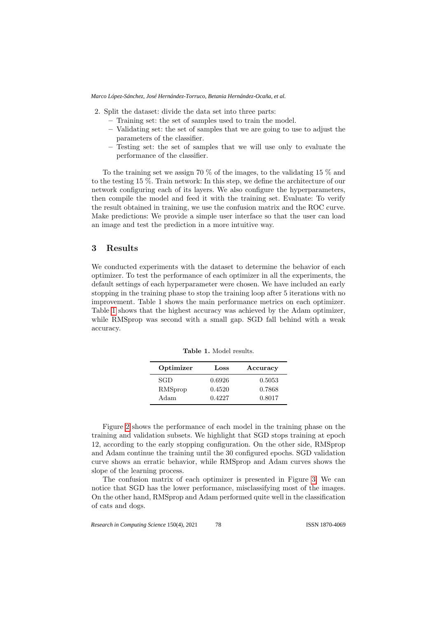2. Split the dataset: divide the data set into three parts:

- Training set: the set of samples used to train the model.
- Validating set: the set of samples that we are going to use to adjust the parameters of the classifier.
- Testing set: the set of samples that we will use only to evaluate the performance of the classifier.

To the training set we assign 70 % of the images, to the validating 15 % and to the testing 15 %. Train network: In this step, we define the architecture of our network configuring each of its layers. We also configure the hyperparameters, then compile the model and feed it with the training set. Evaluate: To verify the result obtained in training, we use the confusion matrix and the ROC curve. Make predictions: We provide a simple user interface so that the user can load an image and test the prediction in a more intuitive way.

## 3 Results

We conducted experiments with the dataset to determine the behavior of each optimizer. To test the performance of each optimizer in all the experiments, the default settings of each hyperparameter were chosen. We have included an early stopping in the training phase to stop the training loop after 5 iterations with no improvement. Table 1 shows the main performance metrics on each optimizer. Table [1](#page-5-0) shows that the highest accuracy was achieved by the Adam optimizer, while RMSprop was second with a small gap. SGD fall behind with a weak accuracy.

| Optimizer | Loss   | Accuracy |
|-----------|--------|----------|
| SGD       | 0.6926 | 0.5053   |
| RMSprop   | 0.4520 | 0.7868   |
| Adam      | 0.4227 | 0.8017   |

<span id="page-5-0"></span>Table 1. Model results.

Figure [2](#page-6-0) shows the performance of each model in the training phase on the training and validation subsets. We highlight that SGD stops training at epoch 12, according to the early stopping configuration. On the other side, RMSprop and Adam continue the training until the 30 configured epochs. SGD validation curve shows an erratic behavior, while RMSprop and Adam curves shows the slope of the learning process.

The confusion matrix of each optimizer is presented in Figure [3.](#page-7-0) We can notice that SGD has the lower performance, misclassifying most of the images. On the other hand, RMSprop and Adam performed quite well in the classification of cats and dogs.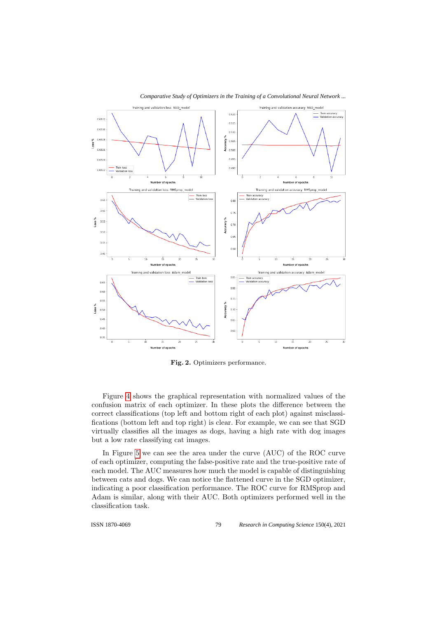

<span id="page-6-0"></span>Fig. 2. Optimizers performance.

Figure [4](#page-7-1) shows the graphical representation with normalized values of the confusion matrix of each optimizer. In these plots the difference between the correct classifications (top left and bottom right of each plot) against misclassifications (bottom left and top right) is clear. For example, we can see that SGD virtually classifies all the images as dogs, having a high rate with dog images but a low rate classifying cat images.

In Figure [5](#page-8-3) we can see the area under the curve (AUC) of the ROC curve of each optimizer, computing the false-positive rate and the true-positive rate of each model. The AUC measures how much the model is capable of distinguishing between cats and dogs. We can notice the flattened curve in the SGD optimizer, indicating a poor classification performance. The ROC curve for RMSprop and Adam is similar, along with their AUC. Both optimizers performed well in the classification task.

79

ISSN 1870-4069 *Research in Computing Science* 150(4), 2021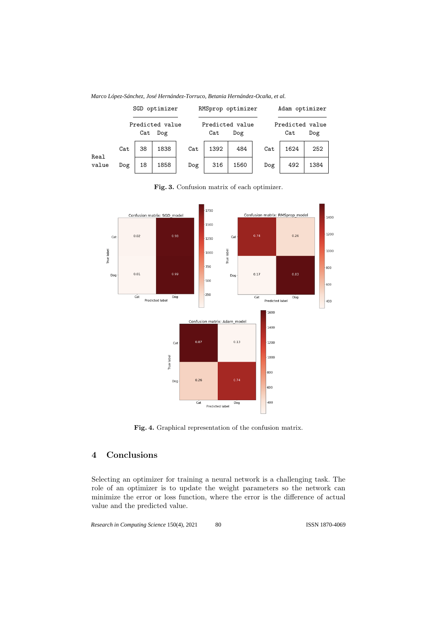

*Marco López-Sánchez, José Hernández-Torruco, Betania Hernández-Ocaña, et al.*



<span id="page-7-0"></span>Fig. 3. Confusion matrix of each optimizer.

<span id="page-7-1"></span>Fig. 4. Graphical representation of the confusion matrix.

# 4 Conclusions

Selecting an optimizer for training a neural network is a challenging task. The role of an optimizer is to update the weight parameters so the network can minimize the error or loss function, where the error is the difference of actual value and the predicted value.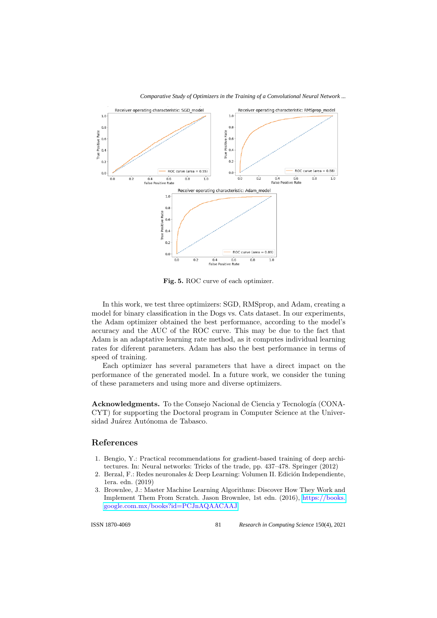

<span id="page-8-3"></span>Fig. 5. ROC curve of each optimizer.

In this work, we test three optimizers: SGD, RMSprop, and Adam, creating a model for binary classification in the Dogs vs. Cats dataset. In our experiments, the Adam optimizer obtained the best performance, according to the model's accuracy and the AUC of the ROC curve. This may be due to the fact that Adam is an adaptative learning rate method, as it computes individual learning rates for diferent parameters. Adam has also the best performance in terms of speed of training.

Each optimizer has several parameters that have a direct impact on the performance of the generated model. In a future work, we consider the tuning of these parameters and using more and diverse optimizers.

Acknowledgments. To the Consejo Nacional de Ciencia y Tecnología (CONA-CYT) for supporting the Doctoral program in Computer Science at the Universidad Juárez Autónoma de Tabasco.

### References

- <span id="page-8-1"></span>1. Bengio, Y.: Practical recommendations for gradient-based training of deep architectures. In: Neural networks: Tricks of the trade, pp. 437–478. Springer (2012)
- <span id="page-8-0"></span>2. Berzal, F.: Redes neuronales  $\&$  Deep Learning: Volumen II. Edición Independiente, 1era. edn. (2019)
- <span id="page-8-2"></span>3. Brownlee, J.: Master Machine Learning Algorithms: Discover How They Work and Implement Them From Scratch. Jason Brownlee, 1st edn. (2016), [https://books.](https://books.google.com.mx/books?id=PCJnAQAACAAJ) [google.com.mx/books?id=PCJnAQAACAAJ](https://books.google.com.mx/books?id=PCJnAQAACAAJ)

81